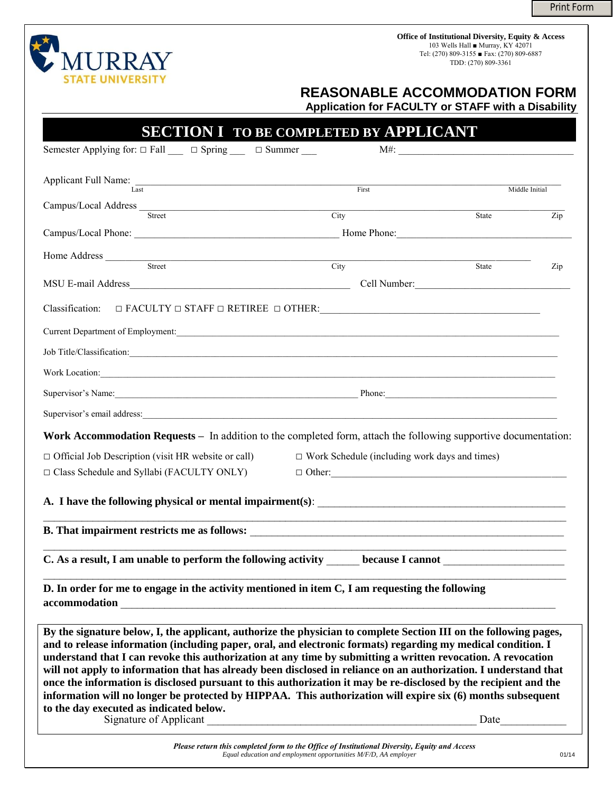Print Form

**Office of Institutional Diversity, Equity & Access** 103 Wells Hall ■ Murray, KY 42071 Tel: (270) 809-3155 ■ Fax: (270) 809-6887 TDD: (270) 809-3361



 **REASONABLE ACCOMMODATION FORM** 

**Application for FACULTY or STAFF with a Disability** 

|                                                                                                                                                                                                                                                                                                                                                                                                                                                                                                                                                                                                                                                                                                                                                                               | <b>SECTION I TO BE COMPLETED BY APPLICANT</b><br>$M#$ :                                                               |                |
|-------------------------------------------------------------------------------------------------------------------------------------------------------------------------------------------------------------------------------------------------------------------------------------------------------------------------------------------------------------------------------------------------------------------------------------------------------------------------------------------------------------------------------------------------------------------------------------------------------------------------------------------------------------------------------------------------------------------------------------------------------------------------------|-----------------------------------------------------------------------------------------------------------------------|----------------|
| Semester Applying for: $\Box$ Fall $\Box$ $\Box$ Spring $\Box$ $\Box$ Summer $\Box$                                                                                                                                                                                                                                                                                                                                                                                                                                                                                                                                                                                                                                                                                           |                                                                                                                       |                |
| Applicant Full Name:<br>Last                                                                                                                                                                                                                                                                                                                                                                                                                                                                                                                                                                                                                                                                                                                                                  | First                                                                                                                 | Middle Initial |
| Campus/Local Address<br>Street                                                                                                                                                                                                                                                                                                                                                                                                                                                                                                                                                                                                                                                                                                                                                | City                                                                                                                  | State<br>Zip   |
| Campus/Local Phone: 2008. [1] December 2008. [1] December 2018. [1] December 2018. [1] December 2018. [1] December 2018. [1] December 2018. [1] December 2018. [1] December 2018. [1] December 2018. [1] December 2018. [1] De                                                                                                                                                                                                                                                                                                                                                                                                                                                                                                                                                | Home Phone:                                                                                                           |                |
| Home Address                                                                                                                                                                                                                                                                                                                                                                                                                                                                                                                                                                                                                                                                                                                                                                  |                                                                                                                       |                |
| Street                                                                                                                                                                                                                                                                                                                                                                                                                                                                                                                                                                                                                                                                                                                                                                        | City                                                                                                                  | State<br>Zip   |
| MSU E-mail Address                                                                                                                                                                                                                                                                                                                                                                                                                                                                                                                                                                                                                                                                                                                                                            | Cell Number:                                                                                                          |                |
| Classification: $\Box$ FACULTY $\Box$ STAFF $\Box$ RETIREE $\Box$ OTHER:                                                                                                                                                                                                                                                                                                                                                                                                                                                                                                                                                                                                                                                                                                      |                                                                                                                       |                |
| Current Department of Employment:                                                                                                                                                                                                                                                                                                                                                                                                                                                                                                                                                                                                                                                                                                                                             | <u> 1989 - Andrea Barbara, Amerikaansk politiker (d. 1989)</u>                                                        |                |
| Job Title/Classification:                                                                                                                                                                                                                                                                                                                                                                                                                                                                                                                                                                                                                                                                                                                                                     | <u> 1989 - Jan Barbara, martxa al II-lea (h. 1989).</u>                                                               |                |
| Work Location:                                                                                                                                                                                                                                                                                                                                                                                                                                                                                                                                                                                                                                                                                                                                                                |                                                                                                                       |                |
| Supervisor's Name:                                                                                                                                                                                                                                                                                                                                                                                                                                                                                                                                                                                                                                                                                                                                                            |                                                                                                                       | Phone:         |
| Supervisor's email address:                                                                                                                                                                                                                                                                                                                                                                                                                                                                                                                                                                                                                                                                                                                                                   | <u> 1989 - Johann Johann Stoff, deutscher Stoffen und der Stoffen und der Stoffen und der Stoffen und der Stoffen</u> |                |
|                                                                                                                                                                                                                                                                                                                                                                                                                                                                                                                                                                                                                                                                                                                                                                               |                                                                                                                       |                |
| Work Accommodation Requests - In addition to the completed form, attach the following supportive documentation:                                                                                                                                                                                                                                                                                                                                                                                                                                                                                                                                                                                                                                                               |                                                                                                                       |                |
| $\Box$ Official Job Description (visit HR website or call)<br>$\Box$ Class Schedule and Syllabi (FACULTY ONLY)                                                                                                                                                                                                                                                                                                                                                                                                                                                                                                                                                                                                                                                                | $\Box$ Work Schedule (including work days and times)<br>$\Box$ Other:                                                 |                |
|                                                                                                                                                                                                                                                                                                                                                                                                                                                                                                                                                                                                                                                                                                                                                                               |                                                                                                                       |                |
|                                                                                                                                                                                                                                                                                                                                                                                                                                                                                                                                                                                                                                                                                                                                                                               |                                                                                                                       |                |
| C. As a result, I am unable to perform the following activity                                                                                                                                                                                                                                                                                                                                                                                                                                                                                                                                                                                                                                                                                                                 | because I cannot                                                                                                      |                |
| D. In order for me to engage in the activity mentioned in item C, I am requesting the following<br>accommodation                                                                                                                                                                                                                                                                                                                                                                                                                                                                                                                                                                                                                                                              |                                                                                                                       |                |
| By the signature below, I, the applicant, authorize the physician to complete Section III on the following pages,<br>and to release information (including paper, oral, and electronic formats) regarding my medical condition. I<br>understand that I can revoke this authorization at any time by submitting a written revocation. A revocation<br>will not apply to information that has already been disclosed in reliance on an authorization. I understand that<br>once the information is disclosed pursuant to this authorization it may be re-disclosed by the recipient and the<br>information will no longer be protected by HIPPAA. This authorization will expire six (6) months subsequent<br>to the day executed as indicated below.<br>Signature of Applicant |                                                                                                                       | Date           |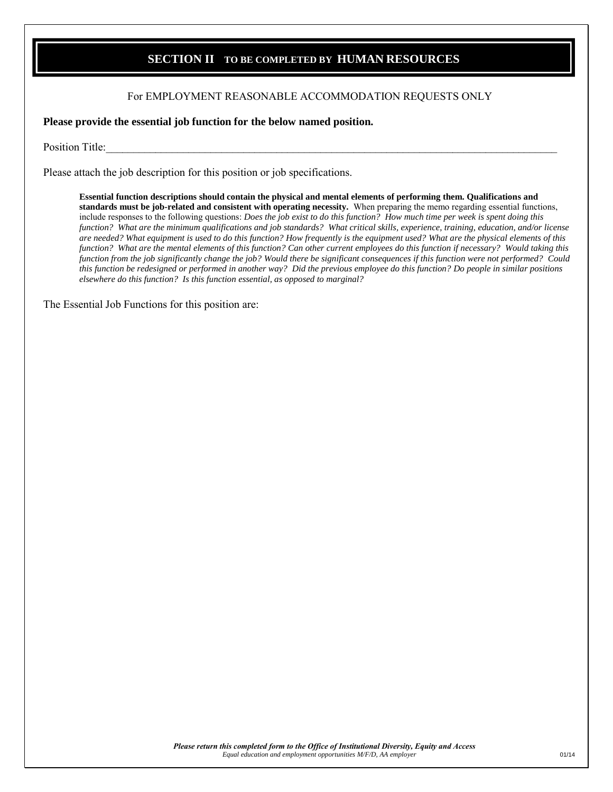## **SECTION II - TO BE COMPLETED BY HUMAN RESOURCES**

## For EMPLOYMENT REASONABLE ACCOMMODATION REQUESTS ONLY

**Please provide the essential job function for the below named position.** 

Position Title:

Please attach the job description for this position or job specifications.

**Essential function descriptions should contain the physical and mental elements of performing them. Qualifications and standards must be job-related and consistent with operating necessity.** When preparing the memo regarding essential functions, include responses to the following questions: *Does the job exist to do this function? How much time per week is spent doing this function? What are the minimum qualifications and job standards? What critical skills, experience, training, education, and/or license are needed? What equipment is used to do this function? How frequently is the equipment used? What are the physical elements of this function? What are the mental elements of this function? Can other current employees do this function if necessary? Would taking this function from the job significantly change the job? Would there be significant consequences if this function were not performed? Could this function be redesigned or performed in another way? Did the previous employee do this function? Do people in similar positions elsewhere do this function? Is this function essential, as opposed to marginal?*

The Essential Job Functions for this position are: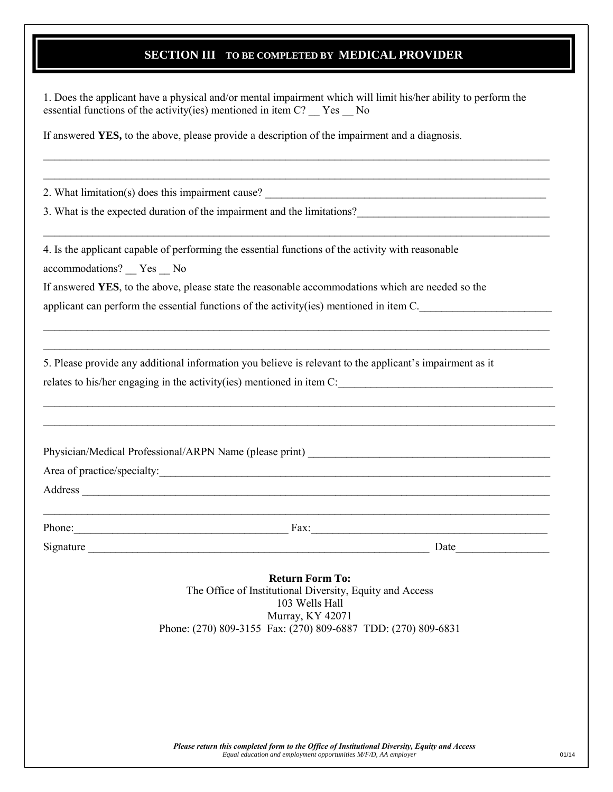## **SECTION III - TO BE COMPLETED BY MEDICAL PROVIDER**

1. Does the applicant have a physical and/or mental impairment which will limit his/her ability to perform the essential functions of the activity(ies) mentioned in item C? \_\_ Yes \_\_ No

\_\_\_\_\_\_\_\_\_\_\_\_\_\_\_\_\_\_\_\_\_\_\_\_\_\_\_\_\_\_\_\_\_\_\_\_\_\_\_\_\_\_\_\_\_\_\_\_\_\_\_\_\_\_\_\_\_\_\_\_\_\_\_\_\_\_\_\_\_\_\_\_\_\_\_\_\_\_\_\_\_\_\_\_\_\_\_\_\_\_\_\_  $\_$ 

 $\_$ 

 $\_$ \_\_\_\_\_\_\_\_\_\_\_\_\_\_\_\_\_\_\_\_\_\_\_\_\_\_\_\_\_\_\_\_\_\_\_\_\_\_\_\_\_\_\_\_\_\_\_\_\_\_\_\_\_\_\_\_\_\_\_\_\_\_\_\_\_\_\_\_\_\_\_\_\_\_\_\_\_\_\_\_\_\_\_\_\_\_\_\_\_\_\_\_

\_\_\_\_\_\_\_\_\_\_\_\_\_\_\_\_\_\_\_\_\_\_\_\_\_\_\_\_\_\_\_\_\_\_\_\_\_\_\_\_\_\_\_\_\_\_\_\_\_\_\_\_\_\_\_\_\_\_\_\_\_\_\_\_\_\_\_\_\_\_\_\_\_\_\_\_\_\_\_\_\_\_\_\_\_\_\_\_\_\_\_\_\_  $\_$ 

If answered **YES,** to the above, please provide a description of the impairment and a diagnosis.

2. What limitation(s) does this impairment cause?

3. What is the expected duration of the impairment and the limitations?

4. Is the applicant capable of performing the essential functions of the activity with reasonable

accommodations? \_\_ Yes \_\_ No

If answered **YES**, to the above, please state the reasonable accommodations which are needed so the

applicant can perform the essential functions of the activity(ies) mentioned in item  $C$ .

5. Please provide any additional information you believe is relevant to the applicant's impairment as it relates to his/her engaging in the activity(ies) mentioned in item  $C$ :

Physician/Medical Professional/ARPN Name (please print)

Area of practice/specialty:

Address \_\_\_\_\_\_\_\_\_\_\_\_\_\_\_\_\_\_\_\_\_\_\_\_\_\_\_\_\_\_\_\_\_\_\_\_\_\_\_\_\_\_\_\_\_\_\_\_\_\_\_\_\_\_\_\_\_\_\_\_\_\_\_\_\_\_\_\_\_\_\_\_\_\_\_\_\_\_\_\_\_\_\_\_\_

Phone:\_\_\_\_\_\_\_\_\_\_\_\_\_\_\_\_\_\_\_\_\_\_\_\_\_\_\_\_\_\_\_\_\_\_\_\_\_\_\_ Fax:\_\_\_\_\_\_\_\_\_\_\_\_\_\_\_\_\_\_\_\_\_\_\_\_\_\_\_\_\_\_\_\_\_\_\_\_\_\_\_\_\_\_\_

 $\_$ 

Signature \_\_\_\_\_\_\_\_\_\_\_\_\_\_\_\_\_\_\_\_\_\_\_\_\_\_\_\_\_\_\_\_\_\_\_\_\_\_\_\_\_\_\_\_\_\_\_\_\_\_\_\_\_\_\_\_\_\_\_\_\_\_ Date\_\_\_\_\_\_\_\_\_\_\_\_\_\_\_\_\_

**Return Form To:**  The Office of Institutional Diversity, Equity and Access 103 Wells Hall Murray, KY 42071 Phone: (270) 809-3155 Fax: (270) 809-6887 TDD: (270) 809-6831